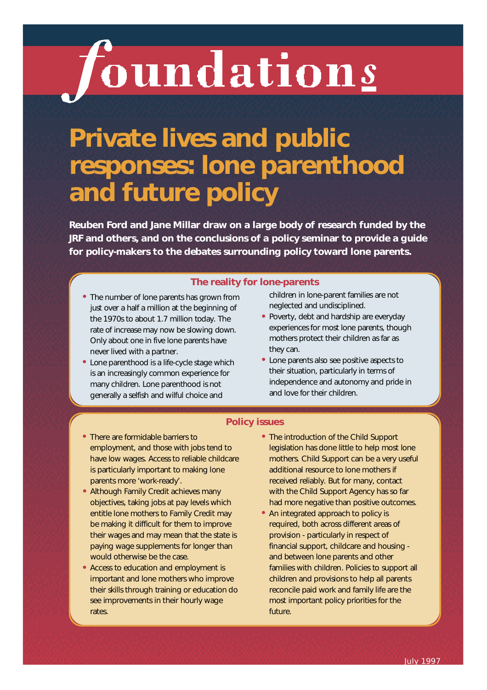# *foundations*

# **Private lives and public responses: lone parenthood and future policy**

Reuben Ford and Jane Millar draw on a large body of research funded by the **JRF and others, and on the conclusions of a policy seminar to provide a guide** for policy-makers to the debates surrounding policy toward lone parents.

#### **The reality for lone-parents**

- **• The number of lone parents has grown from just over a half a million at the beginning of the 1970s to about 1.7 million today. The rate of increase may now be slowing down. Only about one in five lone parents have never lived with a partner.**
- **• Lone parenthood is a life-cycle stage which is an increasingly common experience for many children. Lone parenthood is not generally a selfish and wilful choice and**

**children in lone-parent families are not neglected and undisciplined.**

- **• Poverty, debt and hardship are everyday experiences for most lone parents, though mothers protect their children as far as they can.**
- **• Lone parents also see positive aspects to their situation, particularly in terms of independence and autonomy and pride in and love for their children.**

#### **Policy issues**

- **• There are formidable barriers to employment, and those with jobs tend to have low wages. Access to reliable childcare is particularly important to making lone parents more 'work-ready'.**
- **• Although Family Credit achieves many objectives, taking jobs at pay levels which entitle lone mothers to Family Credit may be making it difficult for them to improve their wages and may mean that the state is paying wage supplements for longer than would otherwise be the case.**
- **• Access to education and employment is important and lone mothers who improve their skills through training or education do see improvements in their hourly wage** rates.
- **• The introduction of the Child Support legislation has done little to help most lone mothers. Child Support can be a very useful additional resource to lone mothers if received reliably. But for many, contact with the Child Support Agency has so far had more negative than positive outcomes.**
- **• An integrated approach to policy is required, both across different areas of provision - particularly in respect of financial support, childcare and housing and between lone parents and other families with children. Policies to support all children and provisions to help all parents reconcile paid work and family life are the most important policy priorities for the** future.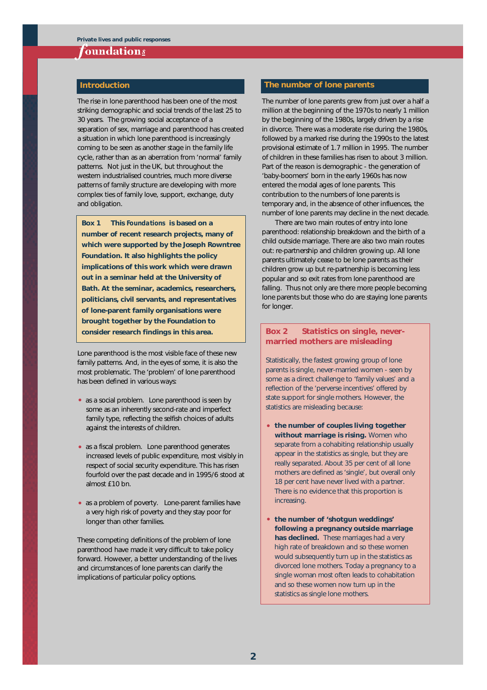#### *f*oundation<u>s</u>

The rise in lone parenthood has been one of the most striking demographic and social trends of the last 25 to 30 years. The growing social acceptance of a separation of sex, marriage and parenthood has created a situation in which lone parenthood is increasingly coming to be seen as another stage in the family life cycle, rather than as an aberration from 'normal' family patterns. Not just in the UK, but throughout the western industrialised countries, much more diverse patterns of family structure are developing with more complex ties of family love, support, exchange, duty and obligation.

**Box 1 This** *Foundations* **is based on a number of recent research projects, many of which were supported by the Joseph Rowntree Foundation. It also highlights the policy implications of this work which were drawn out in a seminar held at the University of Bath. At the seminar, academics, researchers, politicians, civil servants, and representatives of lone-parent family organisations were brought together by the Foundation to** consider research findings in this area. **Box 2** Statistics on single, never-

Lone parenthood is the most visible face of these new family patterns. And, in the eyes of some, it is also the most problematic. The 'problem' of lone parenthood has been defined in various ways:

- as a **social problem.** Lone parenthood is seen by some as an inherently second-rate and imperfect family type, reflecting the selfish choices of adults against the interests of children.
- as a **fiscal problem.** Lone parenthood generates increased levels of public expenditure, most visibly in respect of social security expenditure. This has risen fourfold over the past decade and in 1995/6 stood at almost £10 bn.
- as a **problem of poverty.** Lone-parent families have a very high risk of poverty and they stay poor for longer than other families.

These competing definitions of the problem of lone parenthood have made it very difficult to take policy forward. However, a better understanding of the lives and circumstances of lone parents can clarify the implications of particular policy options.

#### **Introduction Introduction Intervention Intervention Intervention Intervention**

The number of lone parents grew from just over a half a million at the beginning of the 1970s to nearly 1 million by the beginning of the 1980s, largely driven by a rise in divorce. There was a moderate rise during the 1980s, followed by a marked rise during the 1990s to the latest provisional estimate of 1.7 million in 1995. The number of children in these families has risen to about 3 million. Part of the reason is demographic - the generation of 'baby-boomers' born in the early 1960s has now entered the modal ages of lone parents. This contribution to the numbers of lone parents is temporary and, in the absence of other influences, the number of lone parents may decline in the next decade.

There are two main routes of entry into lone parenthood: relationship breakdown and the birth of a child outside marriage. There are also two main routes out: re-partnership and children growing up. All lone parents ultimately cease to be lone parents as their children grow up but re-partnership is becoming less popular and so exit rates from lone parenthood are falling. Thus not only are there more people becoming lone parents but those who do are staying lone parents for longer.

## **married mothers are misleading**

**Statistically, the fastest growing group of lone parents is single, never-married women - seen by some as a direct challenge to 'family values' and a reflection of the 'perverse incentives' offered by state support for single mothers. However, the statistics are misleading because:** 

- **• the number of couples living together without marriage is rising. Women who separate from a cohabiting relationship usually appear in the statistics as single, but they are really separated. About 35 per cent of all lone mothers are defined as 'single', but overall only 18 per cent have never lived with a partner. There is no evidence that this proportion is increasing.**
- **• the number of 'shotgun weddings' following a pregnancy outside marriage has declined. These marriages had a very high rate of breakdown and so these women would subsequently turn up in the statistics as divorced lone mothers. Today a pregnancy to a single woman most often leads to cohabitation and so these women now turn up in the statistics as single lone mothers.**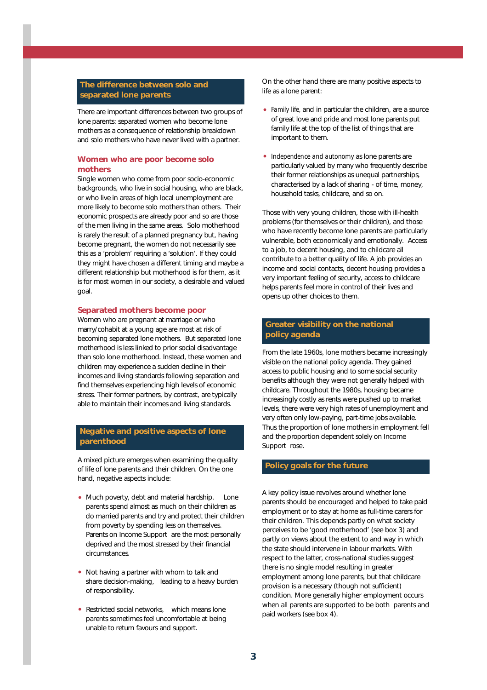#### **The difference between solo and separated lone parents**

There are important differences between two groups of lone parents: separated women who become lone mothers as a consequence of relationship breakdown and solo mothers who have never lived with a partner.

#### **Women who are poor become solo mothers**

Single women who come from poor socio-economic backgrounds, who live in social housing, who are black, or who live in areas of high local unemployment are more likely to become solo mothers than others. Their economic prospects are already poor and so are those of the men living in the same areas. Solo motherhood is rarely the result of a planned pregnancy but, having become pregnant, the women do not necessarily see this as a 'problem' requiring a 'solution'. If they could they might have chosen a different timing and maybe a different relationship but motherhood is for them, as it is for most women in our society, a desirable and valued goal.

#### **Separated mothers become poor**

Women who are pregnant at marriage or who marry/cohabit at a young age are most at risk of becoming separated lone mothers. But separated lone motherhood is less linked to prior social disadvantage than solo lone motherhood. Instead, these women and children may experience a sudden decline in their incomes and living standards following separation and find themselves experiencing high levels of economic stress. Their former partners, by contrast, are typically able to maintain their incomes and living standards.

#### **Negative and positive aspects of lone** parenthood

A mixed picture emerges when examining the quality of life of lone parents and their children. On the one hand, negative aspects include:

- Much poverty, debt and material hardship. Lone parents spend almost as much on their children as do married parents and try and protect their children from poverty by spending less on themselves. Parents on Income Support are the most personally deprived and the most stressed by their financial circumstances.
- **Not having a partner with whom to talk and share decision-making,** leading to a heavy burden of responsibility.
- **Restricted social networks,** which means lone parents sometimes feel uncomfortable at being unable to return favours and support.

On the other hand there are many positive aspects to life as a lone parent:

- *Family life,* and in particular the children, are a source of great love and pride and most lone parents put family life at the top of the list of things that are important to them.
- *Independence and autonomy* as lone parents are particularly valued by many who frequently describe their former relationships as unequal partnerships, characterised by a lack of sharing - of time, money, household tasks, childcare, and so on.

Those with very young children, those with ill-health problems (for themselves or their children), and those who have recently become lone parents are particularly vulnerable, both economically and emotionally. Access to a job, to decent housing, and to childcare all contribute to a better quality of life. A job provides an income and social contacts, decent housing provides a very important feeling of security, access to childcare helps parents feel more in control of their lives and opens up other choices to them.

#### **Greater visibility on the national policy agenda**

From the late 1960s, lone mothers became increasingly visible on the national policy agenda. They gained access to public housing and to some social security benefits although they were not generally helped with childcare. Throughout the 1980s, housing became increasingly costly as rents were pushed up to market levels, there were very high rates of unemployment and very often only low-paying, part-time jobs available. Thus the proportion of lone mothers in employment fell and the proportion dependent solely on Income Support rose.

#### **Policy goals for the future**

A key policy issue revolves around whether lone parents should be encouraged and helped to take paid employment or to stay at home as full-time carers for their children. This depends partly on what society perceives to be 'good motherhood' (see box 3) and partly on views about the extent to and way in which the state should intervene in labour markets. With respect to the latter, cross-national studies suggest there is no single model resulting in greater employment among lone parents, but that childcare provision is a necessary (though not sufficient) condition. More generally higher employment occurs when all parents are supported to be both parents and paid workers (see box 4).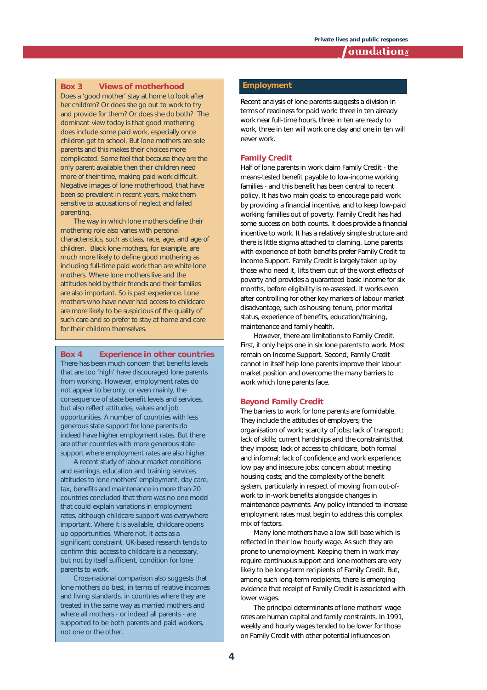#### **Toundation<u>s</u>**

### **Box 3** Views of motherhood **Employment**

**Does a 'good mother' stay at home to look after her children? Or does she go out to work to try and provide for them? Or does she do both? The dominant view today is that good mothering does include some paid work, especially once children get to school. But lone mothers are sole parents and this makes their choices more complicated. Some feel that because they are the only parent available then their children need more of their time, making paid work difficult. Negative images of lone motherhood, that have been so prevalent in recent years, make them sensitive to accusations of neglect and failed parenting.** 

**The way in which lone mothers define their mothering role also varies with personal characteristics, such as class, race, age, and age of children. Black lone mothers, for example, are much more likely to define good mothering as including full-time paid work than are white lone mothers. Where lone mothers live and the attitudes held by their friends and their families are also important. So is past experience. Lone mothers who have never had access to childcare are more likely to be suspicious of the quality of such care and so prefer to stay at home and care for their children themselves.**

#### **Box 4 Experience in other countries**

**There has been much concern that benefits levels that are too 'high' have discouraged lone parents from working. However, employment rates do not appear to be only, or even mainly, the consequence of state benefit levels and services, but also reflect attitudes, values and job opportunities. A number of countries with less generous state support for lone parents do indeed have higher employment rates. But there are other countries with more generous state support where employment rates are also higher.** 

**A recent study of labour market conditions and earnings, education and training services, attitudes to lone mothers' employment, day care, tax, benefits and maintenance in more than 20 countries concluded that there was no one model that could explain variations in employment rates, although childcare support was everywhere important. Where it is available, childcare opens up opportunities. Where not, it acts as a significant constraint. UK-based research tends to confirm this: access to childcare is a necessary, but not by itself sufficient, condition for lone parents to work.** 

**Cross-national comparison also suggests that lone mothers do best, in terms of relative incomes and living standards, in countries where they are treated in the same way as married mothers and where all mothers - or indeed all parents - are supported to be both parents and paid workers, not one or the other.**

Recent analysis of lone parents suggests a division in terms of readiness for paid work: three in ten already work near full-time hours, three in ten are ready to work, three in ten will work one day and one in ten will never work.

#### **Family Credit**

Half of lone parents in work claim Family Credit - the means-tested benefit payable to low-income working families - and this benefit has been central to recent policy. It has two main goals: to encourage paid work by providing a financial incentive, and to keep low-paid working families out of poverty. Family Credit has had some success on both counts. It does provide a financial incentive to work. It has a relatively simple structure and there is little stigma attached to claming. Lone parents with experience of both benefits prefer Family Credit to Income Support. Family Credit is largely taken up by those who need it, lifts them out of the worst effects of poverty and provides a guaranteed basic income for six months, before eligibility is re-assessed. It works even after controlling for other key markers of labour market disadvantage, such as housing tenure, prior marital status, experience of benefits, education/training, maintenance and family health.

However, there are limitations to Family Credit. First, it only helps one in six lone parents to work. Most remain on Income Support. Second, Family Credit cannot in itself help lone parents improve their labour market position and overcome the many barriers to work which lone parents face.

#### **Beyond Family Credit**

The barriers to work for lone parents are formidable. They include the attitudes of employers; the organisation of work; scarcity of jobs; lack of transport; lack of skills; current hardships and the constraints that they impose; lack of access to childcare, both formal and informal; lack of confidence and work experience; low pay and insecure jobs; concern about meeting housing costs; and the complexity of the benefit system, particularly in respect of moving from out-ofwork to in-work benefits alongside changes in maintenance payments. Any policy intended to increase employment rates must begin to address this complex mix of factors.

Many lone mothers have a low skill base which is reflected in their low hourly wage. As such they are prone to unemployment. Keeping them in work may require continuous support and lone mothers are very likely to be long-term recipients of Family Credit. But, among such long-term recipients, there is emerging evidence that receipt of Family Credit is associated with lower wages.

The principal determinants of lone mothers' wage rates are human capital and family constraints. In 1991, weekly and hourly wages tended to be lower for those on Family Credit with other potential influences on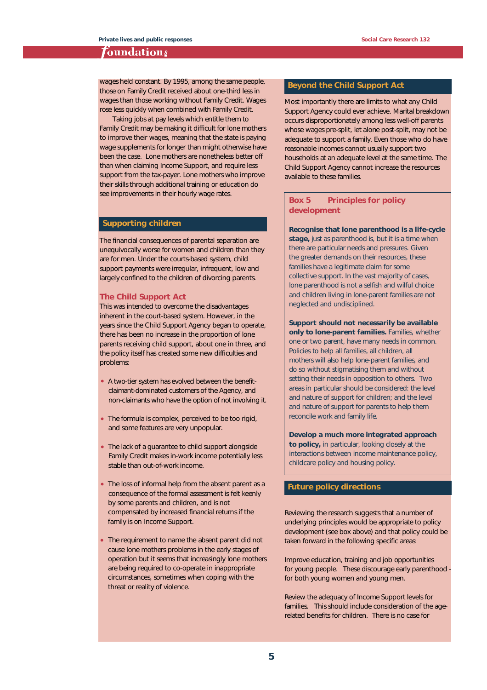#### **Toundations**

wages held constant. By 1995, among the same people, those on Family Credit received about one-third less in wages than those working without Family Credit. Wages rose less quickly when combined with Family Credit.

Taking jobs at pay levels which entitle them to Family Credit may be making it difficult for lone mothers to improve their wages, meaning that the state is paying wage supplements for longer than might otherwise have been the case. Lone mothers are nonetheless better off than when claiming Income Support, and require less support from the tax-payer. Lone mothers who improve their skills through additional training or education do see improvements in their hourly wage rates.

#### **Supporting children**

The financial consequences of parental separation are unequivocally worse for women and children than they are for men. Under the courts-based system, child support payments were irregular, infrequent, low and largely confined to the children of divorcing parents.

#### **The Child Support Act**

This was intended to overcome the disadvantages inherent in the court-based system. However, in the years since the Child Support Agency began to operate, there has been no increase in the proportion of lone parents receiving child support, about one in three, and the policy itself has created some new difficulties and problems:

- A two-tier system has evolved between the benefitclaimant-dominated customers of the Agency, and non-claimants who have the option of not involving it.
- The formula is complex, perceived to be too rigid, and some features are very unpopular.
- The lack of a guarantee to child support alongside Family Credit makes in-work income potentially less stable than out-of-work income.
- The loss of informal help from the absent parent as a consequence of the formal assessment is felt keenly by some parents and children, and is not compensated by increased financial returns if the family is on Income Support.
- The requirement to name the absent parent did not cause lone mothers problems in the early stages of operation but it seems that increasingly lone mothers are being required to co-operate in inappropriate circumstances, sometimes when coping with the threat or reality of violence.

#### **Beyond the Child Support Act**

Most importantly there are limits to what any Child Support Agency could ever achieve. Marital breakdown occurs disproportionately among less well-off parents whose wages pre-split, let alone post-split, may not be adequate to support a family. Even those who do have reasonable incomes cannot usually support two households at an adequate level at the same time. The Child Support Agency cannot increase the resources available to these families.

#### **Box 5 Principles for policy** development

**Recognise that lone parenthood is a life-cycle**

stage, just as parenthood is, but it is a time when **there are particular needs and pressures. Given the greater demands on their resources, these families have a legitimate claim for some collective support. In the vast majority of cases, lone parenthood is not a selfish and wilful choice and children living in lone-parent families are not neglected and undisciplined.**

**Support should not necessarily be available only to lone-parent families. Families, whether one or two parent, have many needs in common. Policies to help all families, all children, all mothers will also help lone-parent families, and do so without stigmatising them and without setting their needs in opposition to others. Two areas in particular should be considered: the level and nature of support for children; and the level and nature of support for parents to help them reconcile work and family life.** 

**Develop a much more integrated approach to policy, in particular, looking closely at the interactions between income maintenance policy, childcare policy and housing policy.**

#### **Future policy directions**

Reviewing the research suggests that a number of underlying principles would be appropriate to policy development (see box above) and that policy could be taken forward in the following specific areas:

**Improve education, training and job opportunities for young people.** These discourage early parenthood for both young women and young men.

**Review the adequacy of Income Support levels for families.** This should include consideration of the agerelated benefits for children. There is no case for